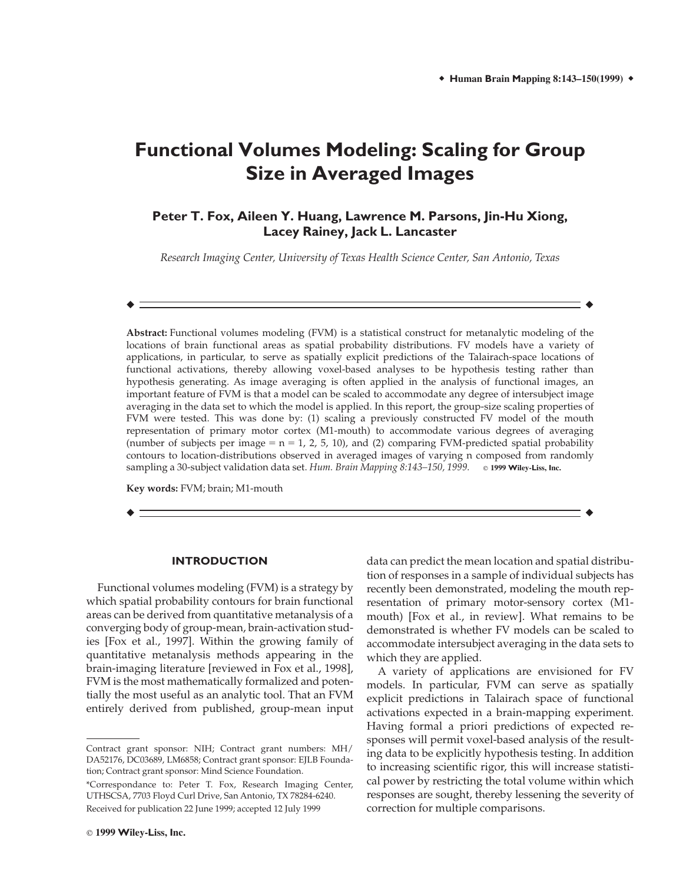# **Functional Volumes Modeling: Scaling for Group Size in Averaged Images**

# **Peter T. Fox, Aileen Y. Huang, Lawrence M. Parsons, Jin-Hu Xiong, Lacey Rainey, Jack L. Lancaster**

*Research Imaging Center, University of Texas Health Science Center, San Antonio, Texas*

! !

**Abstract:** Functional volumes modeling (FVM) is a statistical construct for metanalytic modeling of the locations of brain functional areas as spatial probability distributions. FV models have a variety of applications, in particular, to serve as spatially explicit predictions of the Talairach-space locations of functional activations, thereby allowing voxel-based analyses to be hypothesis testing rather than hypothesis generating. As image averaging is often applied in the analysis of functional images, an important feature of FVM is that a model can be scaled to accommodate any degree of intersubject image averaging in the data set to which the model is applied. In this report, the group-size scaling properties of FVM were tested. This was done by: (1) scaling a previously constructed FV model of the mouth representation of primary motor cortex (M1-mouth) to accommodate various degrees of averaging (number of subjects per image  $= n = 1, 2, 5, 10$ ), and (2) comparing FVM-predicted spatial probability contours to location-distributions observed in averaged images of varying n composed from randomly sampling a 30-subject validation data set. *Hum. Brain Mapping 8:143–150, 1999.* ! **<sup>1999</sup> <sup>W</sup>iley-Liss, <sup>I</sup>nc.**

 $\bullet$  . In the contract of the contract of the contract of the contract of the contract of the contract of the contract of the contract of the contract of the contract of the contract of the contract of the contract of the

**Key words:** FVM; brain; M1-mouth

# **INTRODUCTION**

Functional volumes modeling (FVM) is a strategy by which spatial probability contours for brain functional areas can be derived from quantitative metanalysis of a converging body of group-mean, brain-activation studies [Fox et al., 1997]. Within the growing family of quantitative metanalysis methods appearing in the brain-imaging literature [reviewed in Fox et al., 1998], FVM is the most mathematically formalized and potentially the most useful as an analytic tool. That an FVM entirely derived from published, group-mean input data can predict the mean location and spatial distribution of responses in a sample of individual subjects has recently been demonstrated, modeling the mouth representation of primary motor-sensory cortex (M1 mouth) [Fox et al., in review]. What remains to be demonstrated is whether FV models can be scaled to accommodate intersubject averaging in the data sets to which they are applied.

A variety of applications are envisioned for FV models. In particular, FVM can serve as spatially explicit predictions in Talairach space of functional activations expected in a brain-mapping experiment. Having formal a priori predictions of expected responses will permit voxel-based analysis of the resulting data to be explicitly hypothesis testing. In addition to increasing scientific rigor, this will increase statistical power by restricting the total volume within which responses are sought, thereby lessening the severity of correction for multiple comparisons.

Contract grant sponsor: NIH; Contract grant numbers: MH/ DA52176, DC03689, LM6858; Contract grant sponsor: EJLB Foundation; Contract grant sponsor: Mind Science Foundation.

<sup>\*</sup>Correspondance to: Peter T. Fox, Research Imaging Center, UTHSCSA, 7703 Floyd Curl Drive, San Antonio, TX 78284-6240. Received for publication 22 June 1999; accepted 12 July 1999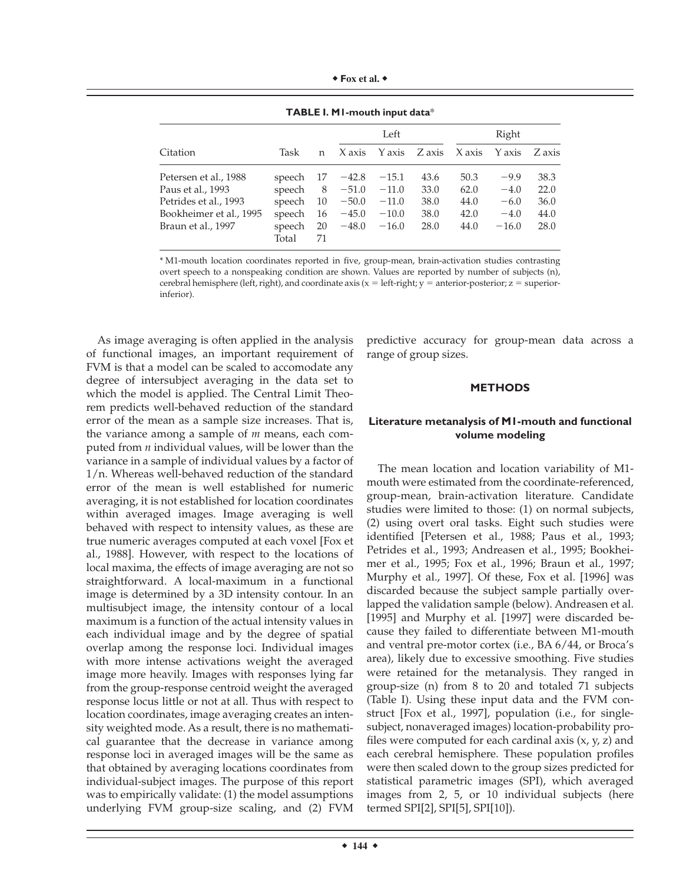| Fox et al. |  |  |  |
|------------|--|--|--|
|------------|--|--|--|

|                         |                 |          |         | Left    |        |        | Right   |        |  |
|-------------------------|-----------------|----------|---------|---------|--------|--------|---------|--------|--|
| Citation                | Task            | n        | X axis  | Y axis  | Z axis | X axis | Y axis  | Z axis |  |
| Petersen et al., 1988   | speech          | 17       | $-42.8$ | $-15.1$ | 43.6   | 50.3   | $-9.9$  | 38.3   |  |
| Paus et al., 1993       | speech          | 8        | $-51.0$ | $-11.0$ | 33.0   | 62.0   | $-4.0$  | 22.0   |  |
| Petrides et al., 1993   | speech          | 10       | $-50.0$ | $-11.0$ | 38.0   | 44.0   | $-6.0$  | 36.0   |  |
| Bookheimer et al., 1995 | speech          | 16       | $-45.0$ | $-10.0$ | 38.0   | 42.0   | $-4.0$  | 44.0   |  |
| Braun et al., 1997      | speech<br>Total | 20<br>71 | $-48.0$ | $-16.0$ | 28.0   | 44.0   | $-16.0$ | 28.0   |  |

**TABLE I. M1-mouth input data**\*

\* M1-mouth location coordinates reported in five, group-mean, brain-activation studies contrasting overt speech to a nonspeaking condition are shown. Values are reported by number of subjects (n), cerebral hemisphere (left, right), and coordinate axis ( $x =$  left-right;  $y =$  anterior-posterior;  $z =$  superiorinferior).

As image averaging is often applied in the analysis of functional images, an important requirement of FVM is that a model can be scaled to accomodate any degree of intersubject averaging in the data set to which the model is applied. The Central Limit Theorem predicts well-behaved reduction of the standard error of the mean as a sample size increases. That is, the variance among a sample of *m* means, each computed from *n* individual values, will be lower than the variance in a sample of individual values by a factor of 1/n. Whereas well-behaved reduction of the standard error of the mean is well established for numeric averaging, it is not established for location coordinates within averaged images. Image averaging is well behaved with respect to intensity values, as these are true numeric averages computed at each voxel [Fox et al., 1988]. However, with respect to the locations of local maxima, the effects of image averaging are not so straightforward. A local-maximum in a functional image is determined by a 3D intensity contour. In an multisubject image, the intensity contour of a local maximum is a function of the actual intensity values in each individual image and by the degree of spatial overlap among the response loci. Individual images with more intense activations weight the averaged image more heavily. Images with responses lying far from the group-response centroid weight the averaged response locus little or not at all. Thus with respect to location coordinates, image averaging creates an intensity weighted mode. As a result, there is no mathematical guarantee that the decrease in variance among response loci in averaged images will be the same as that obtained by averaging locations coordinates from individual-subject images. The purpose of this report was to empirically validate: (1) the model assumptions underlying FVM group-size scaling, and (2) FVM

predictive accuracy for group-mean data across a range of group sizes.

# **METHODS**

# **Literature metanalysis of M1-mouth and functional volume modeling**

The mean location and location variability of M1 mouth were estimated from the coordinate-referenced, group-mean, brain-activation literature. Candidate studies were limited to those: (1) on normal subjects, (2) using overt oral tasks. Eight such studies were identified [Petersen et al., 1988; Paus et al., 1993; Petrides et al., 1993; Andreasen et al., 1995; Bookheimer et al., 1995; Fox et al., 1996; Braun et al., 1997; Murphy et al., 1997]. Of these, Fox et al. [1996] was discarded because the subject sample partially overlapped the validation sample (below). Andreasen et al. [1995] and Murphy et al. [1997] were discarded because they failed to differentiate between M1-mouth and ventral pre-motor cortex (i.e., BA 6/44, or Broca's area), likely due to excessive smoothing. Five studies were retained for the metanalysis. They ranged in group-size (n) from 8 to 20 and totaled 71 subjects (Table I). Using these input data and the FVM construct [Fox et al., 1997], population (i.e., for singlesubject, nonaveraged images) location-probability profiles were computed for each cardinal axis  $(x, y, z)$  and each cerebral hemisphere. These population profiles were then scaled down to the group sizes predicted for statistical parametric images (SPI), which averaged images from 2, 5, or 10 individual subjects (here termed SPI[2], SPI[5], SPI[10]).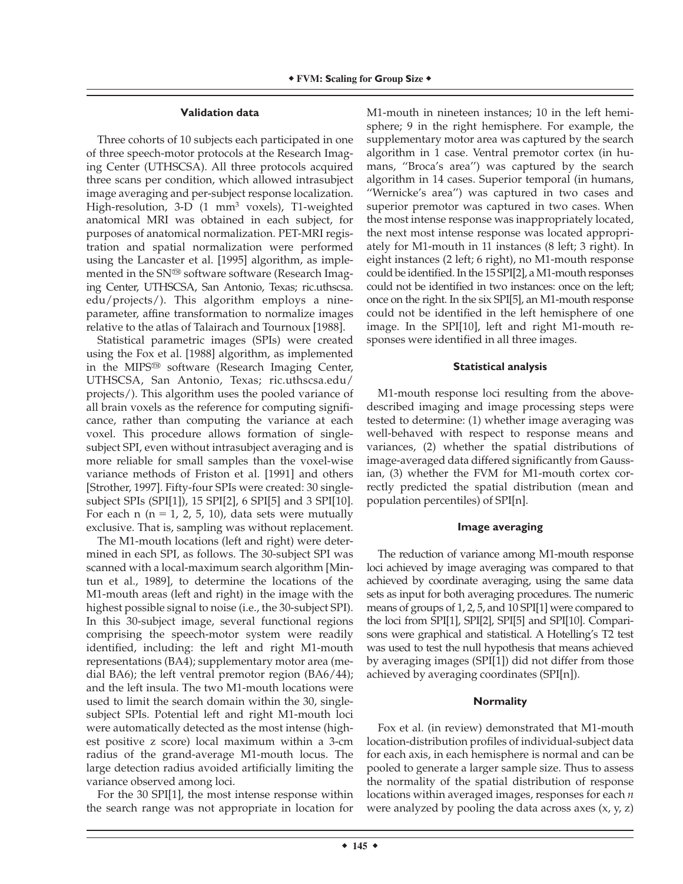### **Validation data**

Three cohorts of 10 subjects each participated in one of three speech-motor protocols at the Research Imaging Center (UTHSCSA). All three protocols acquired three scans per condition, which allowed intrasubject image averaging and per-subject response localization. High-resolution, 3-D (1 mm<sup>3</sup> voxels), T1-weighted anatomical MRI was obtained in each subject, for purposes of anatomical normalization. PET-MRI registration and spatial normalization were performed using the Lancaster et al. [1995] algorithm, as implemented in the  $SN^{\omega}$  software software (Research Imaging Center, UTHSCSA, San Antonio, Texas; ric.uthscsa. edu/projects/). This algorithm employs a nineparameter, affine transformation to normalize images relative to the atlas of Talairach and Tournoux [1988].

Statistical parametric images (SPIs) were created using the Fox et al. [1988] algorithm, as implemented in the MIPS<sup>®</sup> software (Research Imaging Center, UTHSCSA, San Antonio, Texas; ric.uthscsa.edu/ projects/). This algorithm uses the pooled variance of all brain voxels as the reference for computing significance, rather than computing the variance at each voxel. This procedure allows formation of singlesubject SPI, even without intrasubject averaging and is more reliable for small samples than the voxel-wise variance methods of Friston et al. [1991] and others [Strother, 1997]. Fifty-four SPIs were created: 30 singlesubject SPIs (SPI[1]), 15 SPI[2], 6 SPI[5] and 3 SPI[10]. For each n ( $n = 1, 2, 5, 10$ ), data sets were mutually exclusive. That is, sampling was without replacement.

The M1-mouth locations (left and right) were determined in each SPI, as follows. The 30-subject SPI was scanned with a local-maximum search algorithm [Mintun et al., 1989], to determine the locations of the M1-mouth areas (left and right) in the image with the highest possible signal to noise (i.e., the 30-subject SPI). In this 30-subject image, several functional regions comprising the speech-motor system were readily identified, including: the left and right M1-mouth representations (BA4); supplementary motor area (medial BA6); the left ventral premotor region (BA6/44); and the left insula. The two M1-mouth locations were used to limit the search domain within the 30, singlesubject SPIs. Potential left and right M1-mouth loci were automatically detected as the most intense (highest positive z score) local maximum within a 3-cm radius of the grand-average M1-mouth locus. The large detection radius avoided artificially limiting the variance observed among loci.

For the 30 SPI[1], the most intense response within the search range was not appropriate in location for M1-mouth in nineteen instances; 10 in the left hemisphere; 9 in the right hemisphere. For example, the supplementary motor area was captured by the search algorithm in 1 case. Ventral premotor cortex (in humans, ''Broca's area'') was captured by the search algorithm in 14 cases. Superior temporal (in humans, ''Wernicke's area'') was captured in two cases and superior premotor was captured in two cases. When the most intense response was inappropriately located, the next most intense response was located appropriately for M1-mouth in 11 instances (8 left; 3 right). In eight instances (2 left; 6 right), no M1-mouth response could be identified. In the  $15$  SPI[2], a M1-mouth responses could not be identified in two instances: once on the left; once on the right. In the six SPI[5], an M1-mouth response could not be identified in the left hemisphere of one image. In the SPI[10], left and right M1-mouth responses were identified in all three images.

# **Statistical analysis**

M1-mouth response loci resulting from the abovedescribed imaging and image processing steps were tested to determine: (1) whether image averaging was well-behaved with respect to response means and variances, (2) whether the spatial distributions of image-averaged data differed significantly from Gaussian, (3) whether the FVM for M1-mouth cortex correctly predicted the spatial distribution (mean and population percentiles) of SPI[n].

# **Image averaging**

The reduction of variance among M1-mouth response loci achieved by image averaging was compared to that achieved by coordinate averaging, using the same data sets as input for both averaging procedures. The numeric means of groups of 1, 2, 5, and 10 SPI[1] were compared to the loci from SPI[1], SPI[2], SPI[5] and SPI[10]. Comparisons were graphical and statistical. A Hotelling's T2 test was used to test the null hypothesis that means achieved by averaging images (SPI[1]) did not differ from those achieved by averaging coordinates (SPI[n]).

# **Normality**

Fox et al. (in review) demonstrated that M1-mouth location-distribution profiles of individual-subject data for each axis, in each hemisphere is normal and can be pooled to generate a larger sample size. Thus to assess the normality of the spatial distribution of response locations within averaged images, responses for each *n* were analyzed by pooling the data across axes  $(x, y, z)$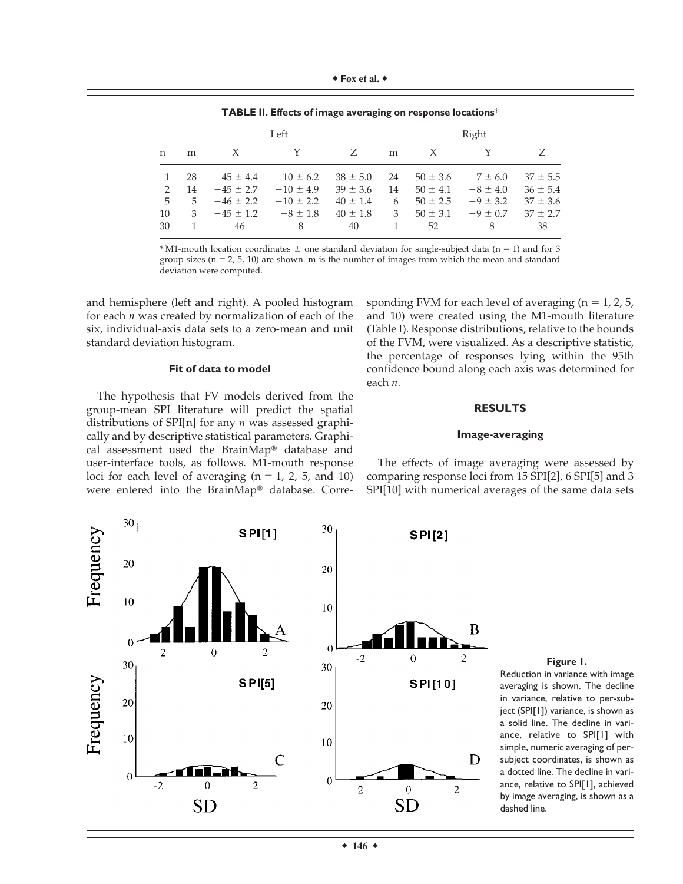| $\bullet$ Fox et al. |  |  |  |
|----------------------|--|--|--|
|----------------------|--|--|--|

n Left Right m X Y Z m X Y Z 1 28  $-45 \pm 4.4$   $-10 \pm 6.2$   $38 \pm 5.0$  24  $50 \pm 3.6$   $-7 \pm 6.0$   $37 \pm 5.5$ 2 14  $-45 \pm 2.7$   $-10 \pm 4.9$   $39 \pm 3.6$  14  $50 \pm 4.1$   $-8 \pm 4.0$   $36 \pm 5.4$ 5 5  $-46 \pm 2.2$   $-10 \pm 2.2$   $40 \pm 1.4$  6  $50 \pm 2.5$   $-9 \pm 3.2$   $37 \pm 3.6$ 10  $3 -45 \pm 1.2 -8 \pm 1.8 + 40 \pm 1.8$   $3 \pm 50 \pm 3.1 -9 \pm 0.7$   $37 \pm 2.7$  $30 \quad 1 \quad -46 \quad -8 \quad 40 \quad 1 \quad 52 \quad -8 \quad 38$ 

**TABLE II. Effects of image averaging on response locations**\*

 $*$  M1-mouth location coordinates  $\pm$  one standard deviation for single-subject data (n = 1) and for 3 group sizes ( $n = 2, 5, 10$ ) are shown. m is the number of images from which the mean and standard deviation were computed.

and hemisphere (left and right). A pooled histogram for each *n* was created by normalization of each of the six, individual-axis data sets to a zero-mean and unit standard deviation histogram.

#### **Fit of data to model**

The hypothesis that FV models derived from the group-mean SPI literature will predict the spatial distributions of SPI[n] for any *n* was assessed graphically and by descriptive statistical parameters. Graphical assessment used the BrainMap® database and user-interface tools, as follows. M1-mouth response loci for each level of averaging  $(n = 1, 2, 5,$  and 10) were entered into the BrainMap® database. Corresponding FVM for each level of averaging  $(n = 1, 2, 5, ...)$ and 10) were created using the M1-mouth literature (Table I). Response distributions, relative to the bounds of the FVM, were visualized. As a descriptive statistic, the percentage of responses lying within the 95th confidence bound along each axis was determined for each *n*.

# **RESULTS**

# **Image-averaging**



The effects of image averaging were assessed by comparing response loci from 15 SPI[2], 6 SPI[5] and 3 SPI[10] with numerical averages of the same data sets

#### **Figure 1.**

Reduction in variance with image averaging is shown. The decline in variance, relative to per-subject (SPI[1]) variance, is shown as a solid line. The decline in variance, relative to SPI[1] with simple, numeric averaging of persubject coordinates, is shown as a dotted line. The decline in variance, relative to SPI[1], achieved by image averaging, is shown as a dashed line.

 $\div$  146  $\div$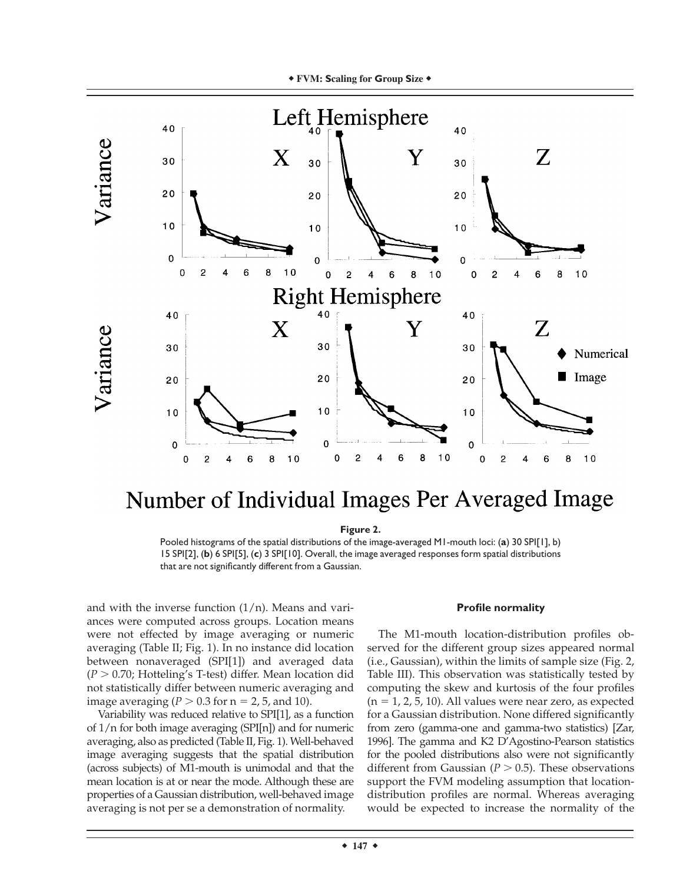

# Number of Individual Images Per Averaged Image

# **Figure 2.**

Pooled histograms of the spatial distributions of the image-averaged M1-mouth loci: (**a**) 30 SPI[1], b) 15 SPI[2], (**b**) 6 SPI[5], (**c**) 3 SPI[10]. Overall, the image averaged responses form spatial distributions that are not significantly different from a Gaussian.

and with the inverse function  $(1/n)$ . Means and variances were computed across groups. Location means were not effected by image averaging or numeric averaging (Table II; Fig. 1). In no instance did location between nonaveraged (SPI[1]) and averaged data  $(P > 0.70)$ ; Hotteling's T-test) differ. Mean location did not statistically differ between numeric averaging and image averaging ( $P > 0.3$  for  $n = 2, 5$ , and 10).

Variability was reduced relative to SPI[1], as a function of 1/n for both image averaging (SPI[n]) and for numeric averaging, also as predicted (Table II, Fig. 1). Well-behaved image averaging suggests that the spatial distribution (across subjects) of M1-mouth is unimodal and that the mean location is at or near the mode. Although these are properties of a Gaussian distribution, well-behaved image averaging is not per se a demonstration of normality.

# **Profile normality**

The M1-mouth location-distribution profiles observed for the different group sizes appeared normal (i.e., Gaussian), within the limits of sample size (Fig. 2, Table III). This observation was statistically tested by computing the skew and kurtosis of the four profiles  $(n = 1, 2, 5, 10)$ . All values were near zero, as expected for a Gaussian distribution. None differed significantly from zero (gamma-one and gamma-two statistics) [Zar, 1996]. The gamma and K2 D'Agostino-Pearson statistics for the pooled distributions also were not significantly different from Gaussian  $(P > 0.5)$ . These observations support the FVM modeling assumption that locationdistribution profiles are normal. Whereas averaging would be expected to increase the normality of the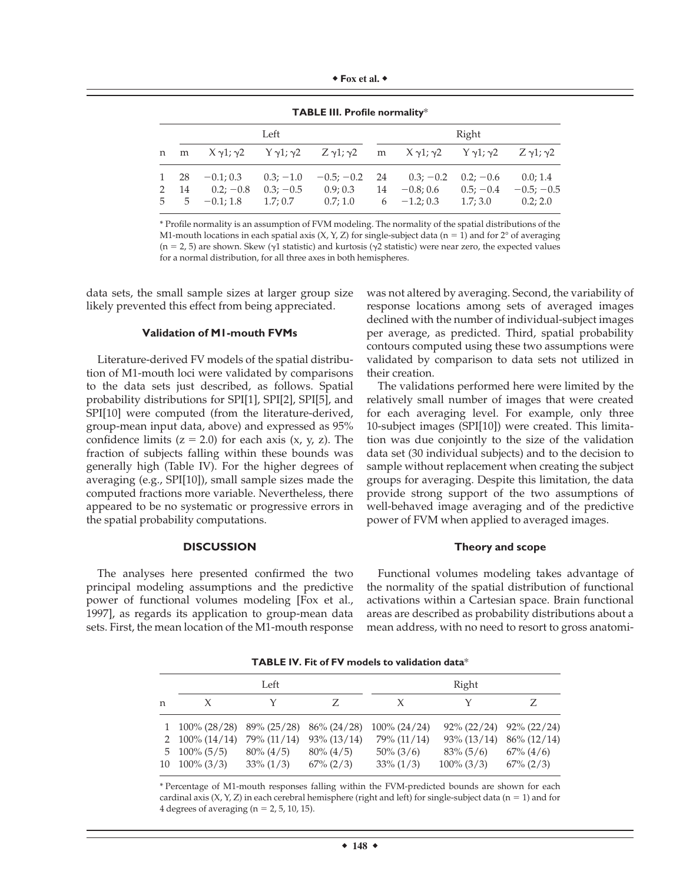| Fox et al. |  |
|------------|--|
|------------|--|

|               | <b>I ADLL III.</b> Frome normancy |                                                                                                                                                                   |             |          |       |                                         |             |              |
|---------------|-----------------------------------|-------------------------------------------------------------------------------------------------------------------------------------------------------------------|-------------|----------|-------|-----------------------------------------|-------------|--------------|
|               | Left                              |                                                                                                                                                                   |             |          | Right |                                         |             |              |
|               |                                   | n m $X \gamma 1$ ; $\gamma 2$ $Y \gamma 1$ ; $\gamma 2$ $Z \gamma 1$ ; $\gamma 2$ m $X \gamma 1$ ; $\gamma 2$ $Y \gamma 1$ ; $\gamma 2$ $Z \gamma 1$ ; $\gamma 2$ |             |          |       |                                         |             |              |
|               | 1 28                              | $-0.1; 0.3$                                                                                                                                                       | $0.3; -1.0$ |          |       | $-0.5; -0.2$ 24 0.3; $-0.2$ 0.2; $-0.6$ |             | 0.0; 1.4     |
| $\mathcal{L}$ | - 14                              | $0.2; -0.8$                                                                                                                                                       | $0.3: -0.5$ | 0.9; 0.3 | 14    | $-0.8; 0.6$                             | $0.5: -0.4$ | $-0.5; -0.5$ |
|               |                                   | $5 \quad 5 \quad -0.1; 1.8 \quad 1.7; 0.7$                                                                                                                        |             |          |       | $0.7; 1.0$ 6 $-1.2; 0.3$ 1.7; 3.0       |             | 0.2:2.0      |

**TABLE III. Profile normality**\*

\* Profile normality is an assumption of FVM modeling. The normality of the spatial distributions of the M1-mouth locations in each spatial axis  $(X, Y, Z)$  for single-subject data (n = 1) and for 2° of averaging (n = 2, 5) are shown. Skew ( $\gamma$ 1 statistic) and kurtosis ( $\gamma$ 2 statistic) were near zero, the expected values for a normal distribution, for all three axes in both hemispheres.

data sets, the small sample sizes at larger group size likely prevented this effect from being appreciated.

### **Validation of M1-mouth FVMs**

Literature-derived FV models of the spatial distribution of M1-mouth loci were validated by comparisons to the data sets just described, as follows. Spatial probability distributions for SPI[1], SPI[2], SPI[5], and SPI[10] were computed (from the literature-derived, group-mean input data, above) and expressed as 95% confidence limits  $(z = 2.0)$  for each axis  $(x, y, z)$ . The fraction of subjects falling within these bounds was generally high (Table IV). For the higher degrees of averaging (e.g., SPI[10]), small sample sizes made the computed fractions more variable. Nevertheless, there appeared to be no systematic or progressive errors in the spatial probability computations.

### **DISCUSSION**

The analyses here presented confirmed the two principal modeling assumptions and the predictive power of functional volumes modeling [Fox et al., 1997], as regards its application to group-mean data sets. First, the mean location of the M1-mouth response was not altered by averaging. Second, the variability of response locations among sets of averaged images declined with the number of individual-subject images per average, as predicted. Third, spatial probability contours computed using these two assumptions were validated by comparison to data sets not utilized in their creation.

The validations performed here were limited by the relatively small number of images that were created for each averaging level. For example, only three 10-subject images (SPI[10]) were created. This limitation was due conjointly to the size of the validation data set (30 individual subjects) and to the decision to sample without replacement when creating the subject groups for averaging. Despite this limitation, the data provide strong support of the two assumptions of well-behaved image averaging and of the predictive power of FVM when applied to averaged images.

#### **Theory and scope**

Functional volumes modeling takes advantage of the normality of the spatial distribution of functional activations within a Cartesian space. Brain functional areas are described as probability distributions about a mean address, with no need to resort to gross anatomi-

**TABLE IV. Fit of FV models to validation data**\*

| Left |                                                                                                                                |                                             |                                                | Right                                                          |                                                                   |                                                                    |  |
|------|--------------------------------------------------------------------------------------------------------------------------------|---------------------------------------------|------------------------------------------------|----------------------------------------------------------------|-------------------------------------------------------------------|--------------------------------------------------------------------|--|
| n    | X                                                                                                                              |                                             | Z                                              |                                                                |                                                                   |                                                                    |  |
|      | $1\quad100\% (28/28)$ $89\% (25/28)$ $86\% (24/28)$<br>2 100\% $(14/14)$<br>$5\quad 100\% \ (5/5)$<br>$10 \quad 100\% \ (3/3)$ | 79% (11/14)<br>$80\% (4/5)$<br>$33\% (1/3)$ | $93\%$ (13/14)<br>$80\% (4/5)$<br>$67\% (2/3)$ | $100\% (24/24)$<br>79% (11/14)<br>$50\% (3/6)$<br>$33\% (1/3)$ | $92\% (22/24)$<br>$93\% (13/14)$<br>$83\% (5/6)$<br>$100\% (3/3)$ | $92\% (22/24)$<br>$86\% (12/14)$<br>$67\%$ $(4/6)$<br>$67\% (2/3)$ |  |

\* Percentage of M1-mouth responses falling within the FVM-predicted bounds are shown for each cardinal axis  $(X, Y, Z)$  in each cerebral hemisphere (right and left) for single-subject data (n = 1) and for 4 degrees of averaging ( $n = 2, 5, 10, 15$ ).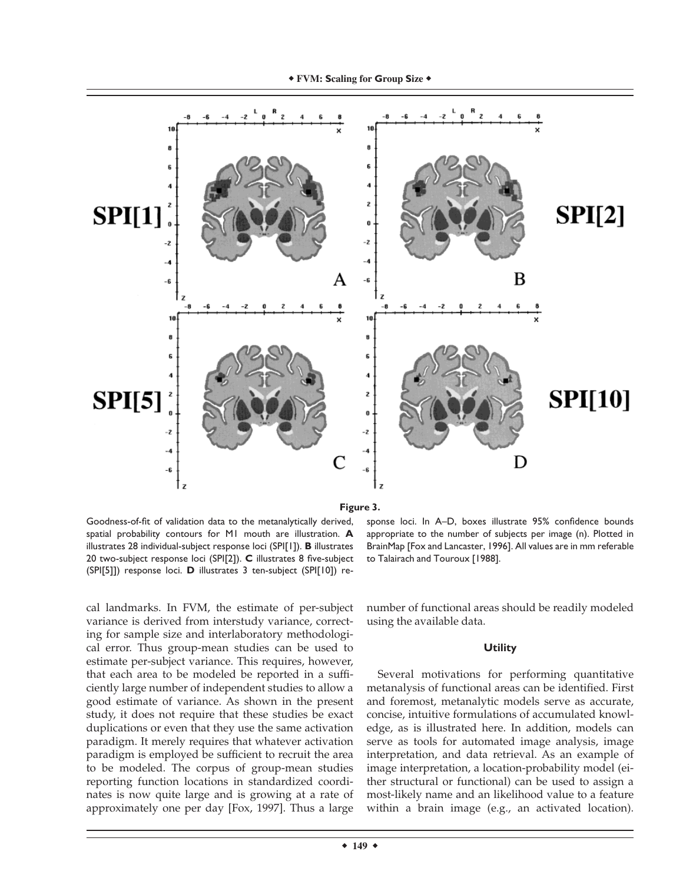

**Figure 3.**

Goodness-of-fit of validation data to the metanalytically derived, spatial probability contours for M1 mouth are illustration. **A** illustrates 28 individual-subject response loci (SPI[1]). **B** illustrates 20 two-subject response loci (SPI[2]). **C** illustrates 8 five-subject (SPI[5]]) response loci. **D** illustrates 3 ten-subject (SPI[10]) re-

cal landmarks. In FVM, the estimate of per-subject variance is derived from interstudy variance, correcting for sample size and interlaboratory methodological error. Thus group-mean studies can be used to estimate per-subject variance. This requires, however, that each area to be modeled be reported in a sufficiently large number of independent studies to allow a good estimate of variance. As shown in the present study, it does not require that these studies be exact duplications or even that they use the same activation paradigm. It merely requires that whatever activation paradigm is employed be sufficient to recruit the area to be modeled. The corpus of group-mean studies reporting function locations in standardized coordinates is now quite large and is growing at a rate of approximately one per day [Fox, 1997]. Thus a large

sponse loci. In A–D, boxes illustrate 95% confidence bounds appropriate to the number of subjects per image (n). Plotted in BrainMap [Fox and Lancaster, 1996]. All values are in mm referable to Talairach and Touroux [1988].

number of functional areas should be readily modeled using the available data.

#### **Utility**

Several motivations for performing quantitative metanalysis of functional areas can be identified. First and foremost, metanalytic models serve as accurate, concise, intuitive formulations of accumulated knowledge, as is illustrated here. In addition, models can serve as tools for automated image analysis, image interpretation, and data retrieval. As an example of image interpretation, a location-probability model (either structural or functional) can be used to assign a most-likely name and an likelihood value to a feature within a brain image (e.g., an activated location).